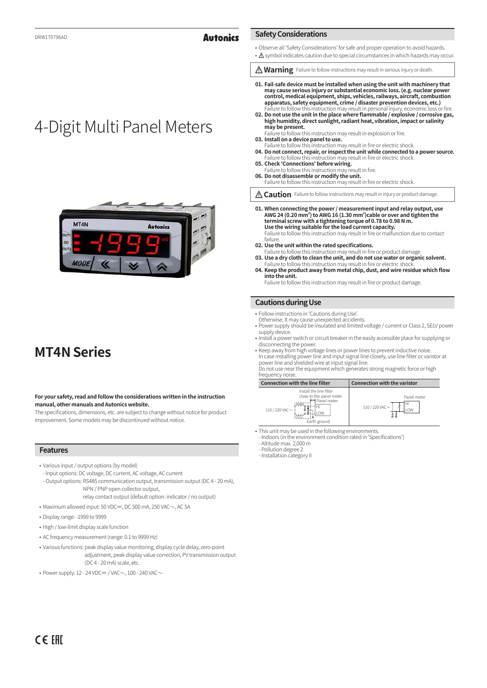### **Autonics**

- Observe all 'Safety Considerations' for safe and proper operation to avoid hazards.
- A symbol indicates caution due to special circumstances in which hazards may occur.
- **Marning** Failure to follow instructions may result in serious injury or death.
- **01. Fail-safe device must be installed when using the unit with machinery that may cause serious injury or substantial economic loss. (e.g. nuclear power control, medical equipment, ships, vehicles, railways, aircraft, combustion apparatus, safety equipment, crime / disaster prevention devices, etc.)**
- Failure to follow this instruction may result in personal injury, economic loss or fire. **02. Do not use the unit in the place where flammable / explosive / corrosive gas, high humidity, direct sunlight, radiant heat, vibration, impact or salinity may be present.** Failure to follow this instruction may result in explosion or fire.
- **03. Install on a device panel to use.**
- Failure to follow this instruction may result in fire or electric shock. **04. Do not connect, repair, or inspect the unit while connected to a power source.** Failure to follow this instruction may result in fire or electric shock.
- **05. Check 'Connections' before wiring.** Failure to follow this instruction may result in fire.

**Safety Considerations**

- **06. Do not disassemble or modify the unit.** Failure to follow this instruction may result in fire or electric shock.
- *A* Caution Failure to follow instructions may result in injury or product damage.
- **01. When connecting the power / measurement input and relay output, use AWG 24 (0.20 mm<sup>2</sup> ) to AWG 16 (1.30 mm<sup>2</sup> )cable or over and tighten the terminal screw with a tightening torque of 0.78 to 0.98 N m. Use the wiring suitable for the load current capacity.** Failure to follow this instruction may result in fire or malfunction due to contact failure.
- **02. Use the unit within the rated specifications.**
- Failure to tollow this instruction may result in tire or product damage.<br>**03. Use a dry cloth to clean the unit, and do not use water or organic solvent.**<br>Failure to follow this instruction may result in fire or electric s
- **04. Keep the product away from metal chip, dust, and wire residue which flow into the unit.**
	- Failure to follow this instruction may result in fire or product damage.

### **Cautions during Use**

- Follow instructions in 'Cautions during Use'.
- Otherwise, It may cause unexpected accidents.
- Power supply should be insulated and limited voltage / current or Class 2, SELV power supply device.
- Install a power switch or circuit breaker in the easily accessible place for supplying or disconnecting the power.
- Keep away from high voltage lines or power lines to prevent inductive noise. In case installing power line and input signal line closely, use line filter or varistor at power line and shielded wire at input signal line.
- Do not use near the equipment which generates strong magnetic force or high frequency noise



- This unit may be used in the following environments. - Indoors (in the environment condition rated in 'Specifications')
	- Altitude max. 2,000 m
	- Pollution degree 2
	- Installation category II

4-Digit Multi Panel Meters



# **MT4N Series**

### **For your safety, read and follow the considerations written in the instruction manual, other manuals and Autonics website.**

The specifications, dimensions, etc. are subject to change without notice for product improvement. Some models may be discontinued without notice.

### **Features**

- Various input / output options (by model)
- Input options: DC voltage, DC current, AC voltage, AC current
- Output options: RS485 communication output, transmission output (DC 4 20 mA), NPN / PNP open collector output,
	- relay contact output (default option: indicator / no output)
- Maximum allowed input: 50 VDC $=$ , DC 500 mA, 250 VAC $\sim$ , AC 5A
- Display range: -1999 to 9999
- High / low-limit display scale function
- AC frequency measurement (range: 0.1 to 9999 Hz)
- Various functions: peak display value monitoring, display cycle delay, zero-point adjustment, peak display value correction, PV transmission output  $(DC 4 - 20$  mA) scale, etc.
- Power supply: 12 24 VDC  $=$  /VAC $\sim$ , 100 240 VAC $\sim$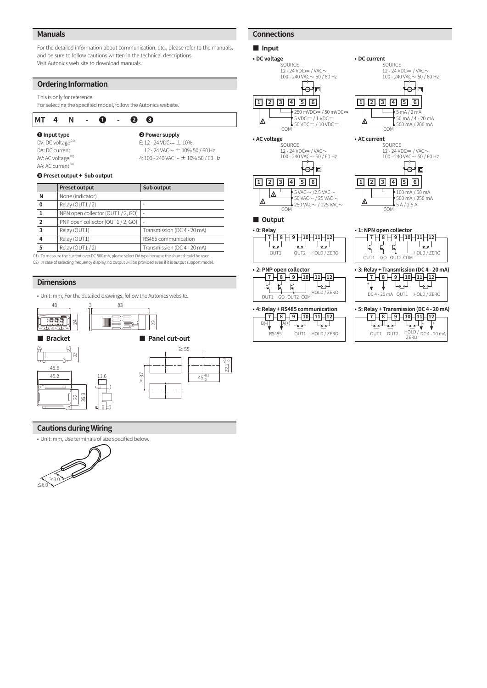### **Manuals**

For the detailed information about communication, etc., please refer to the manuals, and be sure to follow cautions written in the technical descriptions. Visit Autonics web site to download manuals.

### **Ordering Information**

This is only for reference.

For selecting the specified model, follow the Autonics website.

### **MT 4 N - ❶ - ❷ ❸**

**❶ Input type**  DV: DC voltage<sup>01)</sup> DA: DC current AV: AC voltage $^{02)}$ 

AA: AC current<sup>02)</sup>

**❷ Power supply** E:  $12 - 24$  VDC =  $\pm$  10%,  $12 - 24$  VAC  $\sim \pm 10\%$  50 / 60 Hz 4:  $100 - 240$  VAC  $\sim \pm 10\%$  50 / 60 Hz

### **❸ Preset output + Sub output**

|                | <b>Preset output</b>              | Sub output                  |
|----------------|-----------------------------------|-----------------------------|
| N              | None (indicator)                  |                             |
| 0              | Relay (OUT1/2)                    | -                           |
|                | NPN open collector (OUT1 / 2, GO) | $\overline{a}$              |
| $\overline{2}$ | PNP open collector (OUT1/2, GO)   | $\overline{\phantom{a}}$    |
| 3              | Relay (OUT1)                      | Transmission (DC 4 - 20 mA) |
|                | Relay (OUT1)                      | RS485 communication         |
| 5              | Relay (OUT1/2)                    | Transmission (DC 4 - 20 mA) |

01) To measure the current over DC 500 mA, please select DV type because the shunt should be used. 02) In case of selecting frequency display, no output will be provided even if it is output support model

### **Dimensions**

• Unit: mm, For the detailed drawings, follow the Autonics website.



### **Cautions during Wiring**

• Unit: mm, Use terminals of size specified below.



### **Connections**

RS485

OUT1 HOLD / ZERO





OUT1 OUT2  $\frac{HOLD}{ZERO}$  DC 4 - 20 mA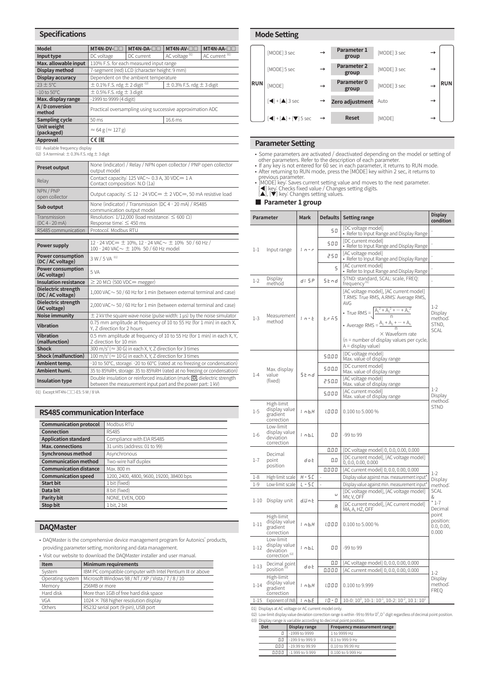### **Specifications**

| <b>Model</b>                     | MT4N-DV-OC<br>MT4N-DA-O                                                               |                                              | MT4N-AV-OC                | MT4N-AA-OC                |  |  |
|----------------------------------|---------------------------------------------------------------------------------------|----------------------------------------------|---------------------------|---------------------------|--|--|
| Input type                       | DC voltage                                                                            | DC current                                   | AC voltage <sup>01)</sup> | AC current <sup>01)</sup> |  |  |
| Max. allowable input             |                                                                                       | 110% F.S. for each measured input range      |                           |                           |  |  |
| Display method                   |                                                                                       | 7-segment (red) LCD (character height: 9 mm) |                           |                           |  |  |
| Display accuracy                 |                                                                                       | Dependent on the ambient temperature         |                           |                           |  |  |
| $23 \pm 5^{\circ}$ C             | $\pm$ 0.1% F.S. rdg $\pm$ 2 digit $\frac{02}{2}$<br>$\pm$ 0.3% F.S. rdg $\pm$ 3 digit |                                              |                           |                           |  |  |
| $-10$ to $50^{\circ}$ C          | $\pm$ 0.5% F.S. rdg $\pm$ 3 digit                                                     |                                              |                           |                           |  |  |
| Max. display range               | -1999 to 9999 (4 digit)                                                               |                                              |                           |                           |  |  |
| A / D conversion<br>method       | Practical oversampling using successive approximation ADC                             |                                              |                           |                           |  |  |
| Sampling cycle                   | 16.6 ms<br>50 ms                                                                      |                                              |                           |                           |  |  |
| <b>Unit weight</b><br>(packaged) | $\approx$ 64 g ( $\approx$ 127 g)                                                     |                                              |                           |                           |  |  |
| Approval                         | <b>CE EHE</b>                                                                         |                                              |                           |                           |  |  |

01) Available frequency display 02) 5 A terminal: ± 0.3% F.S. rdg ± 3 digit

| <b>Preset output</b>      | None (indicator) / Relay / NPN open collector / PNP open collector<br>output model      |
|---------------------------|-----------------------------------------------------------------------------------------|
| Relay                     | Contact capacity: $125$ VAC $\sim$ 0.3 A, 30 VDC = 1 A<br>Contact composition: N.O (1a) |
| NPN/PNP<br>open collector | Output capacity: $\leq$ 12 - 24 VDC= $\pm$ 2 VDC=, 50 mA resistive load                 |
| Sub output                | None (indicator) / Transmission (DC 4 - 20 mA) / RS485<br>communication output model    |
| Transmission              | Resolution: 1/12,000 (load resistance: $\leq 600 \Omega$ )                              |
| $(DC4 - 20 mA)$           | Response time: $\leq$ 450 ms                                                            |
| RS485 communication       | Protocol: Modbus RTU                                                                    |

| Power supply                                  | 12 - 24 VDC== $\pm$ 10%, 12 - 24 VAC $\sim$ $\pm$ 10% 50 / 60 Hz /<br>100 - 240 VAC $\sim \pm$ 10% 50 / 60 Hz model                            |
|-----------------------------------------------|------------------------------------------------------------------------------------------------------------------------------------------------|
| <b>Power consumption</b><br>(DC / AC voltage) | 3 W / 5 VA 01)                                                                                                                                 |
| <b>Power consumption</b><br>(AC voltage)      | 5 VA                                                                                                                                           |
| <b>Insulation resistance</b>                  | $\geq$ 20 M $\Omega$ (500 VDC= megger)                                                                                                         |
| Dielectric strength<br>(DC / AC voltage)      | $1,000$ VAC $\sim$ 50 / 60 Hz for 1 min (between external terminal and case)                                                                   |
| Dielectric strength<br>(AC voltage)           | $2,000$ VAC $\sim$ 50 / 60 Hz for 1 min (between external terminal and case)                                                                   |
| <b>Noise immunity</b>                         | $\pm$ 2 kV the square wave noise (pulse width: 1 us) by the noise simulator                                                                    |
| <b>Vibration</b>                              | 0.75 mm amplitude at frequency of 10 to 55 Hz (for 1 min) in each X,<br>Y. Z direction for 2 hours                                             |
| Vibration<br>(malfunction)                    | 0.5 mm amplitude at frequency of 10 to 55 Hz (for 1 min) in each X, Y,<br>7 direction for 10 min                                               |
| <b>Shock</b>                                  | 300 m/s <sup>2</sup> ( $\approx$ 30 G) in each X, Y, Z direction for 3 times                                                                   |
| <b>Shock (malfunction)</b>                    | $100 \text{ m/s}^2$ ( $\approx 10 \text{ G}$ ) in each X, Y, Z direction for 3 times                                                           |
| Ambient temp.                                 | -10 to 50°C, storage: -20 to 60°C (rated at no freezing or condensation)                                                                       |
| Ambient humi.                                 | 35 to 85%RH, storage: 35 to 85%RH (rated at no freezing or condensation)                                                                       |
| Insulation type                               | Double insulation or reinforced insulation (mark: $\Box$ , dielectric strength<br>between the measurement input part and the power part: 1 kV) |

01) Except MT4N-□□-E5: 5 W / 8 VA

### **RS485 communication Interface**

| <b>Communication protocol</b> | Modbus RTU                               |
|-------------------------------|------------------------------------------|
| Connection                    | RS485                                    |
| <b>Application standard</b>   | Compliance with EIA RS485                |
| <b>Max.</b> connections       | 31 units (address: 01 to 99)             |
| <b>Synchronous method</b>     | Asynchronous                             |
| <b>Communication method</b>   | Two-wire half duplex                     |
| <b>Communication distance</b> | Max. 800 m                               |
| <b>Communication speed</b>    | 1200, 2400, 4800, 9600, 19200, 38400 bps |
| <b>Start bit</b>              | 1 bit (fixed)                            |
| Data bit                      | 8 bit (fixed)                            |
| Parity bit                    | NONE, EVEN, ODD                          |
| <b>Stop bit</b>               | 1 bit. 2 bit                             |

### **DAQMaster**

• DAQMaster is the comprehensive device management program for Autonics' products, providing parameter setting, monitoring and data management.

• Visit our website to download the DAQMaster installer and user manual.

| <b>Minimum requirements</b><br>Item |                                                            |  |  |  |
|-------------------------------------|------------------------------------------------------------|--|--|--|
| System                              | IBM PC compatible computer with Intel Pentium III or above |  |  |  |
| Operating system                    | Microsoft Windows 98 / NT / XP / Vista / 7 / 8 / 10        |  |  |  |
| Memory                              | 256MB or more                                              |  |  |  |
| Hard disk                           | More than 1GB of free hard disk space                      |  |  |  |
| <b>VGA</b>                          | $1024 \times 768$ higher resolution display                |  |  |  |
| Others                              | RS232 serial port (9-pin), USB port                        |  |  |  |

### **Mode Setting**



### **Parameter Setting**

- Some parameters are activated / deactivated depending on the model or setting of other parameters. Refer to the description of each parameter.<br>• If any key is not entered for 60 sec in each parameter, it returns to RUN m
- [MODE] key: Saves current setting value and moves to the next parameter.<br>[◀] key: Checks fixed value / Changes setting digits.<br>[▲], [▼] key: Changes setting values.
	-

### **■ Parameter 1 group**

| Parameter |                                                                      | Mark       | <b>Defaults</b> | <b>Setting range</b>                                                                                                                                                                                                                                                                                             | <b>Display</b><br>condition                         |
|-----------|----------------------------------------------------------------------|------------|-----------------|------------------------------------------------------------------------------------------------------------------------------------------------------------------------------------------------------------------------------------------------------------------------------------------------------------------|-----------------------------------------------------|
|           |                                                                      |            | 50              | [DC voltage model]<br>• Refer to Input Range and Display Range                                                                                                                                                                                                                                                   |                                                     |
|           |                                                                      |            | 500             | [DC current model]<br>• Refer to Input Range and Display Range                                                                                                                                                                                                                                                   |                                                     |
| $1 - 1$   | Input range                                                          | i n - r    | 250             | [AC voltage model]<br>• Refer to Input Range and Display Range                                                                                                                                                                                                                                                   |                                                     |
|           |                                                                      |            | 5               | [AC current model]<br>• Refer to Input Range and Display Range                                                                                                                                                                                                                                                   |                                                     |
| $1 - 2$   | Display<br>method                                                    | d i 5 P    | Stnd            | STND: standard, SCAL: scale, FREQ:<br>frequency <sup>01)</sup>                                                                                                                                                                                                                                                   |                                                     |
| $1 - 3$   | Measurement<br>method                                                | $1 - E$    | E.r 55          | [AC voltage model], [AC current model]<br>T.RMS: True RMS, A.RMS: Average RMS,<br><b>AVG</b><br>• True RMS = $\sqrt{\frac{A_1^2 + A_2^2 + \dots + A_n^2}{n}}$<br>• Average RMS = $\frac{A_1 + A_2 + \dots + A_n}{n}$<br>$\times$ Waveform rate<br>(n = number of display values per cycle,<br>A = display value) | $1-2$<br>Display<br>method:<br>STND,<br><b>SCAL</b> |
|           |                                                                      |            | 50.00           | [DC voltage model]<br>Max. value of display range                                                                                                                                                                                                                                                                |                                                     |
| $1 - 4$   | Max. display<br>value                                                | Stnd       | 500.0           | [DC current model]<br>Max. value of display range                                                                                                                                                                                                                                                                |                                                     |
|           | (fixed)                                                              |            | 250.0           | [AC voltage model]<br>Max. value of display range                                                                                                                                                                                                                                                                |                                                     |
|           |                                                                      |            | 5.000           | [AC current model]<br>Max. value of display range                                                                                                                                                                                                                                                                | $1 - 2$<br>Display<br>method:                       |
| $1 - 5$   | High-limit<br>display value<br>gradient<br>correction                | $1 - b$ .H | 1.000           | 0.100 to 5.000 %                                                                                                                                                                                                                                                                                                 | <b>STND</b>                                         |
| $1 - 6$   | Low-limit<br>display value<br>deviation<br>correction                | i nb.L     | 00              | -99 to 99                                                                                                                                                                                                                                                                                                        |                                                     |
|           | Decimal                                                              |            | 0.0 0           | [DC voltage model] 0, 0.0, 0.00, 0.000                                                                                                                                                                                                                                                                           |                                                     |
| $1 - 7$   | point                                                                | dot        | 0.0             | [DC current model], [AC voltage model]<br>0, 0.0, 0.00, 0.000                                                                                                                                                                                                                                                    |                                                     |
|           | position                                                             |            | 0.000           | [AC current model] 0, 0.0, 0.00, 0.000                                                                                                                                                                                                                                                                           |                                                     |
| $1 - 8$   | High-limit scale                                                     | H - 5 E    |                 | Display value against max. measurement input*                                                                                                                                                                                                                                                                    | $1-2$<br>Display                                    |
| $1 - 9$   | Low-limit scale                                                      | L - 5 C    | L,              | Display value against min. measurement input*                                                                                                                                                                                                                                                                    | method:                                             |
| $1 - 10$  | Display unit                                                         | d.Un E     | U               | [DC voltage model], [AC voltage model]<br>MV, V, OFF                                                                                                                                                                                                                                                             | <b>SCAL</b><br>&                                    |
|           |                                                                      |            | Я               | [DC current model], [AC current model]<br>MA, A, HZ, OFF                                                                                                                                                                                                                                                         | * 1-7<br>Decimal                                    |
| $1 - 11$  | High-limit<br>display value<br>gradient<br>correction                | 1 n b. H   | 1.000           | 0.100 to 5.000 %                                                                                                                                                                                                                                                                                                 | point<br>position:<br>0.0, 0.00,<br>0.000           |
| $1 - 12$  | Low-limit<br>display value<br>deviation<br>correction <sup>02)</sup> | i nb.L     | 00              | -99 to 99                                                                                                                                                                                                                                                                                                        |                                                     |
| $1 - 13$  | Decimal point<br>position                                            | dot        | 0.0<br>0.000    | [AC voltage model] 0, 0.0, 0.00, 0.000<br>[AC current model] 0, 0.0, 0.00, 0.000                                                                                                                                                                                                                                 |                                                     |
| $1 - 14$  | High-limit<br>display value<br>gradient<br>correction                | 1 n b.H    | 1.000           | 0.100 to 9.999                                                                                                                                                                                                                                                                                                   | $1-2$<br>Display<br>method:<br>FREQ                 |
| $1 - 15$  | Exponent of INB                                                      | 1 n b.E    | 10 - 0          | 10-0: $10^0$ , $10-1$ : $10^{-1}$ , $10-2$ : $10^{-2}$ , $10 1$ : $10^1$                                                                                                                                                                                                                                         |                                                     |

01) Displays at AC voltage or AC current model only.<br>02) Low-limit display value deviation correction range is within -99 to 99 for D<sup>0</sup>, D<sup>-1</sup> digit regardless of decimal point position 03) Display range is variable according to decimal point position.

| .                    |                   |                                    |  |  |  |
|----------------------|-------------------|------------------------------------|--|--|--|
| Display range<br>Dot |                   | <b>Frequency measurement range</b> |  |  |  |
|                      | -1999 to 9999     | 1 to 9999 Hz                       |  |  |  |
| 0.0                  | $-199.9$ to 999.9 | $0.1$ to 999.9 Hz                  |  |  |  |
| nnn                  | $-19.99$ to 99.99 | 0.10 to 99.99 Hz                   |  |  |  |
| 0.000                | $-1.999$ to 9.999 | 0.100 to 9.999 Hz                  |  |  |  |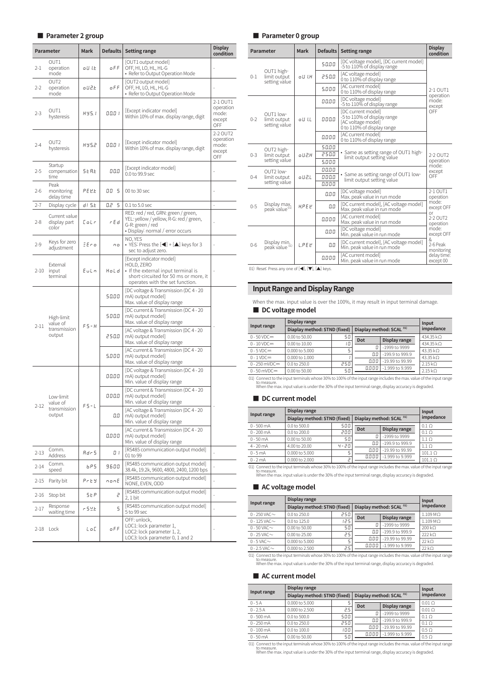### **■ Parameter 2 group**

|          | Parameter                                        | <b>Mark</b>  | Defaults | <b>Setting range</b>                                                                                                                                      | Display<br>condition                            |
|----------|--------------------------------------------------|--------------|----------|-----------------------------------------------------------------------------------------------------------------------------------------------------------|-------------------------------------------------|
| $2 - 1$  | OUT1<br>operation<br>mode                        | oU I.E       | o F F    | [OUT1 output model]<br>OFF, HI, LO, HL, HL-G<br>• Refer to Output Operation Mode                                                                          |                                                 |
| $2 - 2$  | OUT <sub>2</sub><br>operation<br>mode            | o U 2.E      | o F F    | OUT2 output model <br>OFF, HI, LO, HL, HL-G<br>• Refer to Output Operation Mode                                                                           |                                                 |
| $2 - 3$  | OUT1<br>hysteresis                               | <b>HY5.1</b> | 00.0 I   | [Except indicator model]<br>Within 10% of max. display range, digit                                                                                       | 2-1 OUT1<br>operation<br>mode:<br>except<br>OFF |
| $2 - 4$  | OUT2<br>hysteresis                               | H Y 5.2      | 00.O I   | [Except indicator model]<br>Within 10% of max. display range, digit                                                                                       | 2-2 OUT2<br>operation<br>mode:<br>except<br>OFF |
| 2-5      | Startup<br>compensation<br>time                  | 5 E A.E      | 00.0     | [Except indicator model]<br>0.0 to 99.9 sec                                                                                                               |                                                 |
| $2 - 6$  | Peak<br>monitoring<br>delay time                 | PE U.E       | 5<br>00  | 00 to 30 sec                                                                                                                                              |                                                 |
| $2 - 7$  | Display cycle                                    | d1 5.E       | 0.2<br>5 | $0.1$ to $5.0$ sec                                                                                                                                        | $\frac{1}{2}$                                   |
| $2 - 8$  | Current value<br>display part<br>color           | Colr         | r E d    | RED: red / red, GRN: green / green,<br>YEL: yellow / yellow, R-G: red / green,<br>G-R: green / red<br>• Display: normal / error occurs                    |                                                 |
| $2 - 9$  | Keys for zero<br>adjustment                      | EEro         | nο       | NO, YES<br>• YES: Press the $\left[ \blacktriangleleft \right] + \left[ \blacktriangle \right]$ keys for 3<br>sec to adjust zero.                         |                                                 |
| $2 - 10$ | External<br>input<br>terminal                    | Euln         | Hold     | [Except indicator model]<br>HOLD, ZERO<br>• If the external input terminal is<br>short-circuited for 50 ms or more, it<br>operates with the set function. |                                                 |
|          | High-limit<br>value of<br>transmission<br>output |              | 50.00    | [DC voltage & Transmission (DC 4 - 20<br>mA) output model]<br>Max. value of display range                                                                 |                                                 |
| $2 - 11$ |                                                  | $F5-H$       | 500.0    | [DC current & Transmission (DC 4 - 20<br>mA) output model]<br>Max. value of display range                                                                 |                                                 |
|          |                                                  |              | 250.0    | [AC voltage & Transmission (DC 4 - 20<br>mA) output model]<br>Max. value of display range                                                                 |                                                 |
|          |                                                  |              | 5.000    | [AC current & Transmission (DC 4 - 20<br>mA) output model]<br>Max. value of display range                                                                 |                                                 |
|          |                                                  |              | 00.00    | [DC voltage & Transmission (DC 4 - 20<br>mA) output model]<br>Min. value of display range                                                                 |                                                 |
| $2 - 12$ | Low-limit<br>value of                            | $FS-L$       | 000.0    | [DC current & Transmission (DC 4 - 20<br>mA) output model]<br>Min. value of display range                                                                 |                                                 |
|          | transmission<br>output                           |              | 0.0      | [AC voltage & Transmission (DC 4 - 20<br>mA) output model]<br>Min. value of display range                                                                 |                                                 |
|          |                                                  |              | 0.0 0 0  | [AC current & Transmission (DC 4 - 20<br>mA) output model]<br>Min. value of display range                                                                 |                                                 |
| $2 - 13$ | Comm.<br>Address                                 | Adr 5        | O I      | [RS485 communication output model]<br>01 to 99                                                                                                            |                                                 |
| 2-14     | Comm.<br>speed                                   | 6PS          | 9600     | [RS485 communication output model]<br>38.4k, 19.2k, 9600, 4800, 2400, 1200 bps                                                                            |                                                 |
| $2 - 15$ | Parity bit                                       | Prey         | nonE     | [RS485 communication output model]<br>NONE, EVEN, ODD                                                                                                     |                                                 |
| 2-16     | Stop bit                                         | 5 E P        | 5        | [RS485 communication output model]<br>2, 1 bit                                                                                                            |                                                 |
| $2 - 17$ | Response<br>waiting time                         | r 5 Y.E      | 5        | [RS485 communication output model]<br>5 to 99 sec                                                                                                         |                                                 |
|          | 2-18 Lock                                        | LoC          | oFF      | OFF: unlock,<br>LOC1: lock parameter 1,<br>LOC2: lock parameter 1, 2,<br>LOC3: lock parameter 0, 1 and 2                                                  |                                                 |

### **■ Parameter 0 group**

|         | Parameter                                       | <b>Mark</b> | Defaults       | <b>Setting range</b>                                                                                         | <b>Display</b><br>condition |
|---------|-------------------------------------------------|-------------|----------------|--------------------------------------------------------------------------------------------------------------|-----------------------------|
|         |                                                 |             | 50.00          | [DC voltage model], [DC current model]<br>-5 to 110% of display range                                        |                             |
| $0 - 1$ | OUT1 high-<br>limit output<br>setting value     | o U LH      | 250.0          | [AC voltage model]<br>0 to 110% of display range                                                             |                             |
|         |                                                 |             | 5.000          | [AC current model]<br>0 to 110% of display range                                                             | $2-1$ OUT1<br>operation     |
|         |                                                 |             | 00.00          | [DC voltage model]<br>-5 to 110% of display range                                                            | mode:<br>except             |
| $0 - 2$ | OUT1 low-<br>limit output<br>setting value      | o U I.L     | 000.0          | <b>IDC</b> current modell<br>-5 to 110% of display range<br>[AC voltage model]<br>0 to 110% of display range | OFF                         |
|         |                                                 |             | 0.000          | [AC current model]<br>0 to 110% of display range                                                             |                             |
|         | OUT2 high-<br>limit output<br>setting value     |             | 50.00          |                                                                                                              | 2-2 OUT2                    |
| $0 - 3$ |                                                 | a112.H      | 250.0          | • Same as setting range of OUT1 high-<br>limit output setting value                                          |                             |
|         |                                                 |             | 5.000          |                                                                                                              | operation<br>mode:          |
|         | OUT <sub>2</sub> low-                           | o U 2.L     | 00.00          | • Same as setting range of OUT1 low-                                                                         | except                      |
| $0 - 4$ | limit output<br>setting value                   |             | 000.0<br>0.000 | limit output setting value                                                                                   | OFF                         |
|         |                                                 |             | 0.00           | [DC voltage model]<br>Max. peak value in run mode                                                            | 2-1 OUT1<br>operation       |
| $0 - 5$ | Display max.<br>peak value <sup>01)</sup>       | <b>HPFP</b> | 0.0            | [DC current model], [AC voltage model]<br>Max. peak value in run mode                                        | mode:<br>except OFF         |
|         |                                                 |             | 0.000          | [AC current model]<br>Max. peak value in run mode                                                            | or<br>2-2 OUT2<br>operation |
| $0 - 6$ | Display min.<br>peak value <sup>01)</sup>       | L.PE E      | 0.00           | [DC voltage model]<br>Min. peak value in run mode                                                            | mode:<br>except OFF         |
|         |                                                 |             | 0.0            | [DC current model], [AC voltage model]<br>Min. peak value in run mode                                        | &<br>2-6 Peak<br>monitoring |
|         |                                                 |             | 0.000          | [AC current model]<br>Min. peak value in run mode                                                            | delay time:<br>except 00    |
|         | 01) Reset: Press any one of [◀], [▼], [▲] keys. |             |                |                                                                                                              |                             |

## **Input Range and Display Range**

When the max. input value is over the 100%, it may result in input terminal damage. ■ **DC** voltage model

| Input range              | Display range                | Input |                                     |                   |                 |
|--------------------------|------------------------------|-------|-------------------------------------|-------------------|-----------------|
|                          | Diaplay method: STND (fixed) |       | Diaplay method: SCAL <sup>01)</sup> | impedance         |                 |
| $0 - 50 \, \text{VDC} =$ | 0.00 to 50.00                | 50    | Dot                                 |                   | 434.35 kO       |
| $0 - 10$ VDC=            | 0.00 to 10.00                | 10    |                                     | Display range     | 434.35 kO       |
| $0 - 5$ VDC=             | 0.000 to 5.000               | 5     | П                                   | -1999 to 9999     | 43.35 kO        |
| $0 - 1$ VDC $=$          | 0.000 to 1.000               |       | 0.0                                 | -199.9 to 999.9   | 43.35 $k\Omega$ |
| $0 - 250$ mVDC=          | 0.0 to 250.0                 | 250   | 0.00                                | $-19.99$ to 99.99 | $2.15 k\Omega$  |
| $0 - 50$ mVDC=           | 0.00 to 50.00                | 50    | 0.000                               | -1.999 to 9.999   | $2.15 k\Omega$  |

01) Connect to the input terminals whose 30% to 100% of the input range includes the max. value of the input range to measure. When the max. input value is under the 30% of the input terminal range, display accuracy is degraded.

### ■ DC current model

| Input range  | Display range                | Input    |                                     |                   |                  |
|--------------|------------------------------|----------|-------------------------------------|-------------------|------------------|
|              | Diaplay method: STND (fixed) |          | Diaplay method: SCAL <sup>01)</sup> | impedance         |                  |
| $0 - 500$ mA | 0.0 to 500.0                 | 500      | Dot                                 | Display range     | $0.1\Omega$      |
| $0 - 200$ mA | 0.0 to 200.0                 | 200      |                                     |                   | $0.1\Omega$      |
| $0 - 50$ mA  | 0.00 to 50.00                | 50       | П                                   | $-1999$ to 9999   | $1.1\Omega$      |
| $4 - 20$ mA  | 4.00 to 20.00                | $4 - 20$ | 0.0                                 | $-199.9$ to 999.9 | 1.1 <sub>O</sub> |
| $0 - 5$ mA   | 0.000 to 5.000               | 5        | 0.00                                | $-19.99$ to 99.99 | $101.1\Omega$    |
| $0 - 2$ mA   | 0.000 to 2.000               | Ρ        | 0.000                               | -1.999 to 9.999   | $101.1\Omega$    |
|              |                              |          |                                     |                   |                  |

01) Connect to the input terminals whose 30% to 100% of the input range includes the max. value of the input range<br>to measure.<br>When the max. input value is under the 30% of the input terminal range, display accuracy is deg

### ■ **AC voltage model**

| Input range          | Display range                | Input |                                     |                   |                 |  |
|----------------------|------------------------------|-------|-------------------------------------|-------------------|-----------------|--|
|                      | Diaplay method: STND (fixed) |       | Diaplay method: SCAL <sup>01)</sup> | impedance         |                 |  |
| 0 - 250 VAC $\sim$   | 0.0 to 250.0                 | 250   | Dot                                 | Display range     | $1.109 M\Omega$ |  |
| $0 - 125$ VAC $\sim$ | $0.0$ to 125.0               | 125   |                                     |                   | $1.109$ MO      |  |
| $0 - 50$ VAC $\sim$  | 0.00 to 50.00                | 50    | 0                                   | -1999 to 9999     | 200 kO          |  |
| $0 - 25$ VAC $\sim$  | $0.00$ to 25.00              | 25    | O.O                                 | $-199.9$ to 999.9 | 222kO           |  |
| $0 - 5$ VAC $\sim$   | 0.000 to 5.000               |       | 0.00                                | -19.99 to 99.99   | 22kO            |  |
| $0 - 2.5$ VAC $\sim$ | 0.000 to 2.500               | 2.5   | 0.000                               | -1.999 to 9.999   | $22 k\Omega$    |  |

01) Connect to the input terminals whose 30% to 100% of the input range includes the max. value of the input range<br>to measure.<br>When the max. input value is under the 30% of the input terminal range, display accuracy is deg

### ■ **AC current model**

|                                                                                                                                                    | Display range                | Input |                                     |                 |                |  |  |  |  |
|----------------------------------------------------------------------------------------------------------------------------------------------------|------------------------------|-------|-------------------------------------|-----------------|----------------|--|--|--|--|
| Input range                                                                                                                                        | Diaplay method: STND (fixed) |       | Diaplay method: SCAL <sup>01)</sup> | impedance       |                |  |  |  |  |
| $0 - 5A$                                                                                                                                           | 0.000 to 5.000               |       | Dot                                 | Display range   | $0.01\Omega$   |  |  |  |  |
| $0 - 2.5A$                                                                                                                                         | 0.000 to 2.500               | 2.5   |                                     |                 | $0.01\ \Omega$ |  |  |  |  |
| $0 - 500$ mA                                                                                                                                       | 0.0 to 500.0                 | 500   | П                                   | -1999 to 9999   | $0.1\Omega$    |  |  |  |  |
| $0 - 250$ mA                                                                                                                                       | 0.0 to 250.0                 | 250   | 0.0                                 | -199.9 to 999.9 | $0.1\Omega$    |  |  |  |  |
|                                                                                                                                                    | 0.0 to 100.0                 | 100   | 0.00                                | -19.99 to 99.99 |                |  |  |  |  |
| $0 - 100$ mA                                                                                                                                       |                              |       | 0.000                               | -1.999 to 9.999 | $0.5 \Omega$   |  |  |  |  |
| $0 - 50$ mA                                                                                                                                        | 0.00 to 50.00                | 50    |                                     |                 | $0.5 \Omega$   |  |  |  |  |
| 01) Connect to the input terminals whose 30% to 100% of the input range includes the max, value of the input range<br>de de conde de de dez estab- |                              |       |                                     |                 |                |  |  |  |  |

to measure. When the max. input value is under the 30% of the input terminal range, display accuracy is degraded.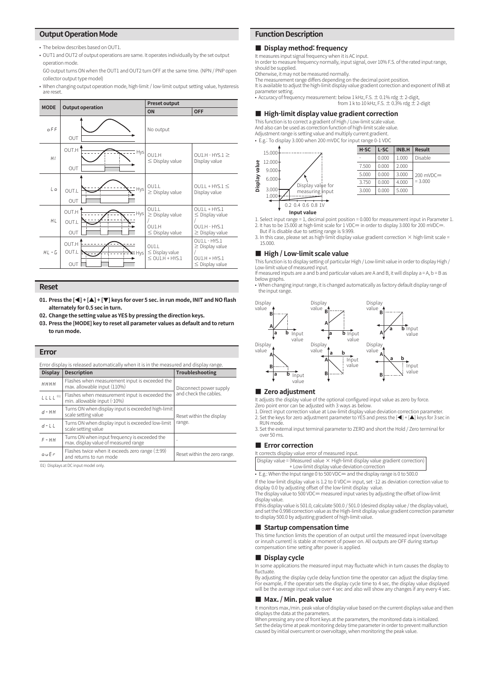### **Output Operation Mode**

- The below describes based on OUT1.
- OUT1 and OUT2 of output operations are same. It operates individually by the set output operation mode.

GO output turns ON when the OUT1 and OUT2 turn OFF at the same time. (NPN / PNP open collector output type model)

• When changing output operation mode, high-limit / low-limit output setting value, hysteresis are reset.

| <b>MODE</b> | <b>Output operation</b>        | <b>Preset output</b>                                            |                                                                                    |  |  |  |
|-------------|--------------------------------|-----------------------------------------------------------------|------------------------------------------------------------------------------------|--|--|--|
|             |                                | ON                                                              | <b>OFF</b>                                                                         |  |  |  |
| o F F       | OUT                            | No output                                                       |                                                                                    |  |  |  |
| H I         | OUT.H<br><b>Hys</b><br>OUT     | OU1.H<br>$\leq$ Display value                                   | $QU1.H - HYS.1 \geq$<br>Display value                                              |  |  |  |
| Lο          | = Hys<br>OUT.L<br>OUT          | OU1.L<br>$\geq$ Display value                                   | $QU1.I + HYS.1 \leq$<br>Display value                                              |  |  |  |
| HL          | OUT.H<br>= Hys<br>OUT.L<br>OUT | OUT.L<br>$\geq$ Display value<br>OUI.H<br>$\leq$ Display value  | $QU1.I + HYS.1$<br>$\leq$ Display value<br>$QU1.H - HYS.1$<br>$\geq$ Display value |  |  |  |
| $HL - L$    | OUT.H<br>OUT.L<br>Hys<br>OUT   | O <sub>U1</sub><br>$\leq$ Display value<br>$\leq$ OU1.H + HYS.1 | OU1.L - HYS.1<br>$\geq$ Display value<br>$QU1.H + HYS.1$<br>$\leq$ Display value   |  |  |  |

### **Reset**

- **01. Press the [◀] + [▲] + [▼] keys for over 5 sec. in run mode, INIT and NO flash alternately for 0.5 sec in turn.**
- **02. Change the setting value as YES by pressing the direction keys.**
- **03. Press the [MODE] key to reset all parameter values as default and to return to run mode.**

### **Error**

| Error display is released automatically when it is in the measured and display range. |                                                                                       |                              |  |  |  |  |  |  |
|---------------------------------------------------------------------------------------|---------------------------------------------------------------------------------------|------------------------------|--|--|--|--|--|--|
| <b>Display</b>                                                                        | <b>Description</b>                                                                    | Troubleshooting              |  |  |  |  |  |  |
| нннн                                                                                  | Flashes when measurement input is exceeded the<br>max. allowable input (110%)         | Disconnect power supply      |  |  |  |  |  |  |
| LLLL <sup>01</sup>                                                                    | Flashes when measurement input is exceeded the<br>min. allowable input (-10%)         | and check the cables.        |  |  |  |  |  |  |
| $A - HH$                                                                              | Turns ON when display input is exceeded high-limit<br>scale setting value             | Reset within the display     |  |  |  |  |  |  |
| $d-L$                                                                                 | Turns ON when display input is exceeded low-limit<br>scale setting value              | range.                       |  |  |  |  |  |  |
| $F - HH$                                                                              | Turns ON when input frequency is exceeded the<br>max. display value of measured range | ۰                            |  |  |  |  |  |  |
| ouEr                                                                                  | Flashes twice when it exceeds zero range $(\pm 99)$<br>and returns to run mode        | Reset within the zero range. |  |  |  |  |  |  |
|                                                                                       |                                                                                       |                              |  |  |  |  |  |  |

01) Displays at DC input model only.

### **Function Description**

### **■ Display method: frequency**

It measures input signal frequency when it is AC input. In order to measure frequency normally, input signal, over 10% F.S. of the rated input range, should be supplied.

Otherwise, it may not be measured normally.

The measurement range differs depending on the decimal point position.

It is available to adjust the high-limit display value gradient correction and exponent of INB at

parameter setting.

• Accuracy of frequency measurement: below 1 kHz, F.S. ± 0.1% rdg ± 2-digit, from 1 k to 10 kHz, F.S. ± 0.3% rdg ± 2-digit

### ■ **High-limit display value gradient correction**

This function is to correct a gradient of High / Low-limit scale value.

And also can be used as correction function of high-limit scale value. Adjustment range is setting value and multiply current gradient.

• E.g.: To display 3.000 when 200 mVDC for input range 0-1 VDC

![](_page_4_Figure_25.jpeg)

1. Select input range = 1, decimal point position = 0.000 for measurement input in Parameter 1. 2. It has to be 15.000 at high-limit scale for 1 VDC= in order to display 3.000 for 200 mVDC=.

But if is disable due to setting range is 9.999. 3. In this case, please set as high-limit display value gradient correction × high-limit scale =

15.000.

### **■ High / Low-limit scale value**

This function is to display setting of particular High / Low-limit value in order to display High / Low-limit value of measured input. If measured inputs are a and b and particular values are A and B, it will display a = A, b = B as

below graphs.

• When changing input range, it is changed automatically as factory default display range of the input range.

![](_page_4_Figure_33.jpeg)

### **■ Zero adjustment**

It adjusts the display value of the optional configured input value as zero by force. Zero point error can be adjusted with 3 ways as below.

- 1. Direct input correction value at Low-limit display value deviation correction parameter. 2. Set the keys for zero adjustment parameter to YES and press the [◀] + [▲] keys for 3 sec in RUN mode.
- 3. Set the external input terminal parameter to ZERO and short the Hold / Zero terminal for over 50 ms.

### **■ Error correction**

| It corrects display value error of measured input.                                     |
|----------------------------------------------------------------------------------------|
| Display value = (Measured value $\times$ High-limit display value gradient correction) |
| + Low-limit display value deviation correction                                         |

• E.g.: When the Input range 0 to 500 VDC= and the display range is 0 to 500.0

If the low-limit display value is 1.2 to 0 VDC= input, set -12 as deviation correction value to display 0.0 by adjusting offset of the low-limit display value.<br>The display value to 500 VDC= measured input varies by adjusting the offset of low-limit

display value. If this display value is 501.0, calculate 500.0 / 501.0 (desired display value / the display value), and set the 0.998 correction value as the High-limit display value gradient correction parameter to display 500.0 by adjusting gradient of high-limit value.

### ■ **Startup compensation time**

This time function limits the operation of an output until the measured input (overvoltage or inrush current) is stable at moment of power on. All outputs are OFF during startup compensation time setting after power is applied.

### **■ Display cycle**

In some applications the measured input may fluctuate which in turn causes the display to fluctuate

By adjusting the display cycle delay function time the operator can adjust the display time. For example, if the operator sets the display cycle time to 4 sec, the display value displayed will be the average input value over 4 sec and also will show any changes if any every 4 sec.

### **■ Max. / Min. peak value**

It monitors max./min. peak value of display value based on the current displays value and then displays the data at the parameters.

When pressing any one of front keys at the parameters, the monitored data is initialized. Set the delay time at peak monitoring delay time parameter in order to prevent malfunction caused by initial overcurrent or overvoltage, when monitoring the peak value.